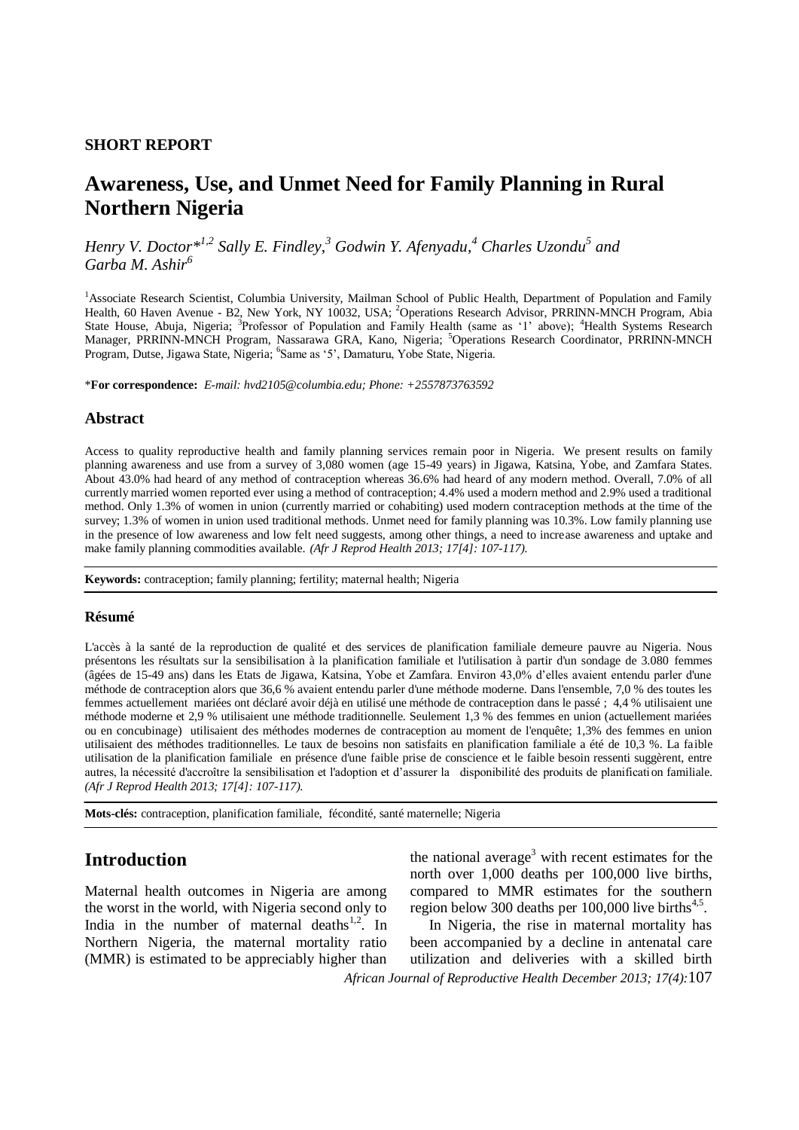### **SHORT REPORT**

# **Awareness, Use, and Unmet Need for Family Planning in Rural Northern Nigeria**

*Henry V. Doctor\*1,2 Sally E. Findley, <sup>3</sup> Godwin Y. Afenyadu, <sup>4</sup> Charles Uzondu<sup>5</sup> and Garba M. Ashir<sup>6</sup>*

<sup>1</sup>Associate Research Scientist, Columbia University, Mailman School of Public Health, Department of Population and Family Health, 60 Haven Avenue - B2, New York, NY 10032, USA; <sup>2</sup>Operations Research Advisor, PRRINN-MNCH Program, Abia State House, Abuja, Nigeria; <sup>3</sup>Professor of Population and Family Health (same as '1' above); <sup>4</sup>Health Systems Research Manager, PRRINN-MNCH Program, Nassarawa GRA, Kano, Nigeria; <sup>5</sup>Operations Research Coordinator, PRRINN-MNCH Program, Dutse, Jigawa State, Nigeria; <sup>6</sup>Same as '5', Damaturu, Yobe State, Nigeria.

\***For correspondence:** *E-mail: hvd2105@columbia.edu; Phone: +2557873763592*

### **Abstract**

Access to quality reproductive health and family planning services remain poor in Nigeria. We present results on family planning awareness and use from a survey of 3,080 women (age 15-49 years) in Jigawa, Katsina, Yobe, and Zamfara States. About 43.0% had heard of any method of contraception whereas 36.6% had heard of any modern method. Overall, 7.0% of all currently married women reported ever using a method of contraception; 4.4% used a modern method and 2.9% used a traditional method. Only 1.3% of women in union (currently married or cohabiting) used modern contraception methods at the time of the survey; 1.3% of women in union used traditional methods. Unmet need for family planning was 10.3%. Low family planning use in the presence of low awareness and low felt need suggests, among other things, a need to increase awareness and uptake and make family planning commodities available. *(Afr J Reprod Health 2013; 17[4]: 107-117).*

**Keywords:** contraception; family planning; fertility; maternal health; Nigeria

### **Résumé**

L'accès à la santé de la reproduction de qualité et des services de planification familiale demeure pauvre au Nigeria. Nous présentons les résultats sur la sensibilisation à la planification familiale et l'utilisation à partir d'un sondage de 3.080 femmes (âgées de 15-49 ans) dans les Etats de Jigawa, Katsina, Yobe et Zamfara. Environ 43,0% d'elles avaient entendu parler d'une méthode de contraception alors que 36,6 % avaient entendu parler d'une méthode moderne. Dans l'ensemble, 7,0 % des toutes les femmes actuellement mariées ont déclaré avoir déjà en utilisé une méthode de contraception dans le passé ; 4,4 % utilisaient une méthode moderne et 2,9 % utilisaient une méthode traditionnelle. Seulement 1,3 % des femmes en union (actuellement mariées ou en concubinage) utilisaient des méthodes modernes de contraception au moment de l'enquête; 1,3% des femmes en union utilisaient des méthodes traditionnelles. Le taux de besoins non satisfaits en planification familiale a été de 10,3 %. La faible utilisation de la planification familiale en présence d'une faible prise de conscience et le faible besoin ressenti suggèrent, entre autres, la nécessité d'accroître la sensibilisation et l'adoption et d'assurer la disponibilité des produits de planification familiale. *(Afr J Reprod Health 2013; 17[4]: 107-117).*

**Mots-clés:** contraception, planification familiale, fécondité, santé maternelle; Nigeria

## **Introduction**

Maternal health outcomes in Nigeria are among the worst in the world, with Nigeria second only to India in the number of maternal deaths $1,2$ . In Northern Nigeria, the maternal mortality ratio (MMR) is estimated to be appreciably higher than

the national average<sup>3</sup> with recent estimates for the north over 1,000 deaths per 100,000 live births, compared to MMR estimates for the southern region below 300 deaths per  $100,000$  live births<sup>4,5</sup>.

*African Journal of Reproductive Health December 2013; 17(4):*107 In Nigeria, the rise in maternal mortality has been accompanied by a decline in antenatal care utilization and deliveries with a skilled birth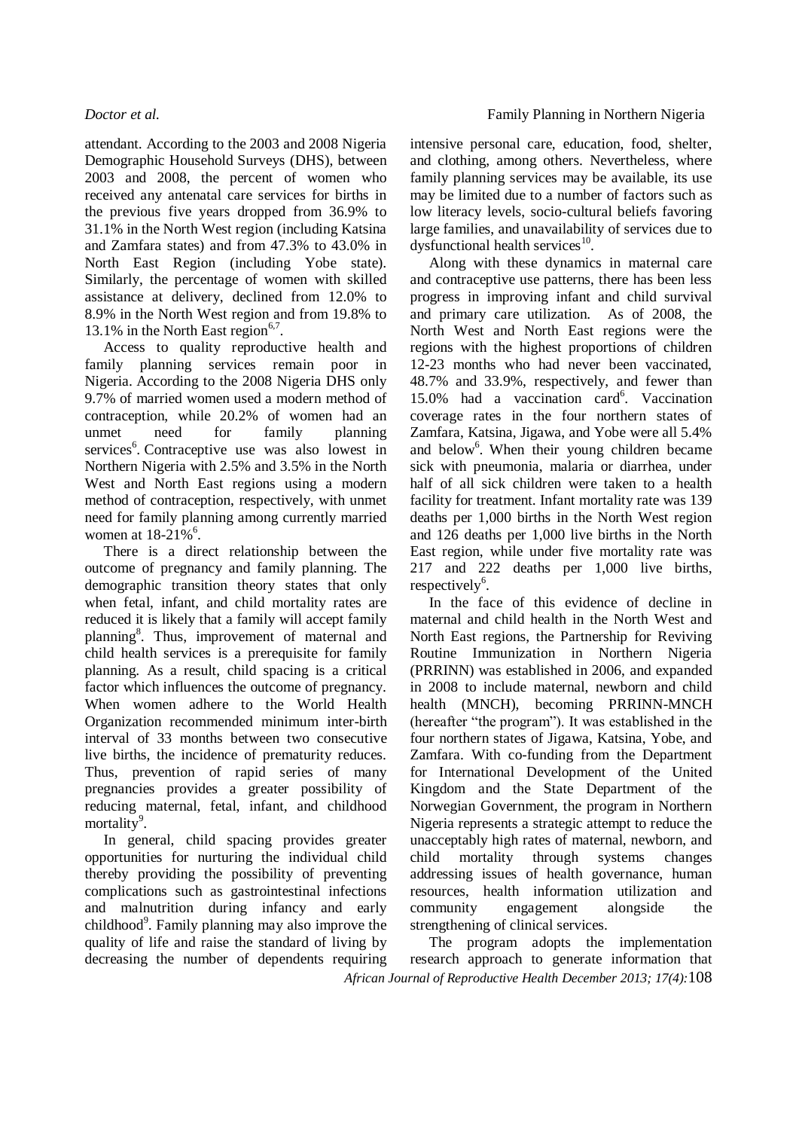attendant. According to the 2003 and 2008 Nigeria Demographic Household Surveys (DHS), between 2003 and 2008, the percent of women who received any antenatal care services for births in the previous five years dropped from 36.9% to 31.1% in the North West region (including Katsina and Zamfara states) and from 47.3% to 43.0% in North East Region (including Yobe state). Similarly, the percentage of women with skilled assistance at delivery, declined from 12.0% to 8.9% in the North West region and from 19.8% to 13.1% in the North East region $6,7$ .

Access to quality reproductive health and family planning services remain poor in Nigeria. According to the 2008 Nigeria DHS only 9.7% of married women used a modern method of contraception, while 20.2% of women had an unmet need for family planning services<sup>6</sup>. Contraceptive use was also lowest in Northern Nigeria with 2.5% and 3.5% in the North West and North East regions using a modern method of contraception, respectively, with unmet need for family planning among currently married women at  $18-21\%$ <sup>6</sup>.

There is a direct relationship between the outcome of pregnancy and family planning. The demographic transition theory states that only when fetal, infant, and child mortality rates are reduced it is likely that a family will accept family planning<sup>8</sup>. Thus, improvement of maternal and child health services is a prerequisite for family planning. As a result, child spacing is a critical factor which influences the outcome of pregnancy. When women adhere to the World Health Organization recommended minimum inter-birth interval of 33 months between two consecutive live births, the incidence of prematurity reduces. Thus, prevention of rapid series of many pregnancies provides a greater possibility of reducing maternal, fetal, infant, and childhood mortality<sup>9</sup>.

In general, child spacing provides greater opportunities for nurturing the individual child thereby providing the possibility of preventing complications such as gastrointestinal infections and malnutrition during infancy and early childhood<sup>9</sup>. Family planning may also improve the quality of life and raise the standard of living by decreasing the number of dependents requiring

intensive personal care, education, food, shelter, and clothing, among others. Nevertheless, where family planning services may be available, its use may be limited due to a number of factors such as low literacy levels, socio-cultural beliefs favoring large families, and unavailability of services due to dysfunctional health services<sup>10</sup>.

Along with these dynamics in maternal care and contraceptive use patterns, there has been less progress in improving infant and child survival and primary care utilization. As of 2008, the North West and North East regions were the regions with the highest proportions of children 12-23 months who had never been vaccinated, 48.7% and 33.9%, respectively, and fewer than 15.0% had a vaccination card<sup>6</sup>. Vaccination coverage rates in the four northern states of Zamfara, Katsina, Jigawa, and Yobe were all 5.4% and below<sup>6</sup>. When their young children became sick with pneumonia, malaria or diarrhea, under half of all sick children were taken to a health facility for treatment. Infant mortality rate was 139 deaths per 1,000 births in the North West region and 126 deaths per 1,000 live births in the North East region, while under five mortality rate was 217 and 222 deaths per 1,000 live births, respectively<sup>6</sup>.

In the face of this evidence of decline in maternal and child health in the North West and North East regions, the Partnership for Reviving Routine Immunization in Northern Nigeria (PRRINN) was established in 2006, and expanded in 2008 to include maternal, newborn and child health (MNCH), becoming PRRINN-MNCH (hereafter "the program"). It was established in the four northern states of Jigawa, Katsina, Yobe, and Zamfara. With co-funding from the Department for International Development of the United Kingdom and the State Department of the Norwegian Government, the program in Northern Nigeria represents a strategic attempt to reduce the unacceptably high rates of maternal, newborn, and child mortality through systems changes addressing issues of health governance, human resources, health information utilization and community engagement alongside the strengthening of clinical services.

*African Journal of Reproductive Health December 2013; 17(4):*108 The program adopts the implementation research approach to generate information that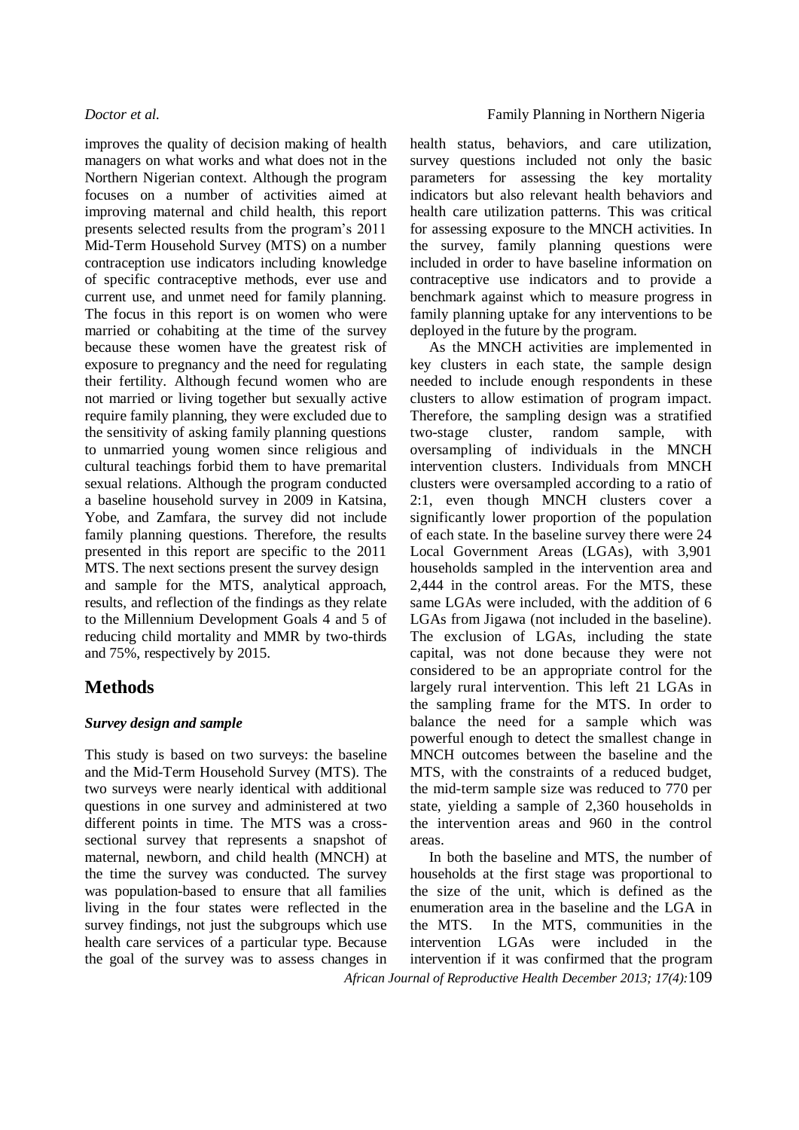improves the quality of decision making of health managers on what works and what does not in the Northern Nigerian context. Although the program focuses on a number of activities aimed at improving maternal and child health, this report presents selected results from the program's 2011 Mid-Term Household Survey (MTS) on a number contraception use indicators including knowledge of specific contraceptive methods, ever use and current use, and unmet need for family planning. The focus in this report is on women who were married or cohabiting at the time of the survey because these women have the greatest risk of exposure to pregnancy and the need for regulating their fertility. Although fecund women who are not married or living together but sexually active require family planning, they were excluded due to the sensitivity of asking family planning questions to unmarried young women since religious and cultural teachings forbid them to have premarital sexual relations. Although the program conducted a baseline household survey in 2009 in Katsina, Yobe, and Zamfara, the survey did not include family planning questions. Therefore, the results presented in this report are specific to the 2011 MTS. The next sections present the survey design and sample for the MTS, analytical approach, results, and reflection of the findings as they relate to the Millennium Development Goals 4 and 5 of reducing child mortality and MMR by two-thirds and 75%, respectively by 2015.

# **Methods**

### *Survey design and sample*

This study is based on two surveys: the baseline and the Mid-Term Household Survey (MTS). The two surveys were nearly identical with additional questions in one survey and administered at two different points in time. The MTS was a crosssectional survey that represents a snapshot of maternal, newborn, and child health (MNCH) at the time the survey was conducted. The survey was population-based to ensure that all families living in the four states were reflected in the survey findings, not just the subgroups which use health care services of a particular type. Because the goal of the survey was to assess changes in

health status, behaviors, and care utilization, survey questions included not only the basic parameters for assessing the key mortality indicators but also relevant health behaviors and health care utilization patterns. This was critical for assessing exposure to the MNCH activities. In the survey, family planning questions were included in order to have baseline information on contraceptive use indicators and to provide a benchmark against which to measure progress in family planning uptake for any interventions to be deployed in the future by the program.

As the MNCH activities are implemented in key clusters in each state, the sample design needed to include enough respondents in these clusters to allow estimation of program impact. Therefore, the sampling design was a stratified two-stage cluster, random sample, with oversampling of individuals in the MNCH intervention clusters. Individuals from MNCH clusters were oversampled according to a ratio of 2:1, even though MNCH clusters cover a significantly lower proportion of the population of each state. In the baseline survey there were 24 Local Government Areas (LGAs), with 3,901 households sampled in the intervention area and 2,444 in the control areas. For the MTS, these same LGAs were included, with the addition of 6 LGAs from Jigawa (not included in the baseline). The exclusion of LGAs, including the state capital, was not done because they were not considered to be an appropriate control for the largely rural intervention. This left 21 LGAs in the sampling frame for the MTS. In order to balance the need for a sample which was powerful enough to detect the smallest change in MNCH outcomes between the baseline and the MTS, with the constraints of a reduced budget, the mid-term sample size was reduced to 770 per state, yielding a sample of 2,360 households in the intervention areas and 960 in the control areas.

*African Journal of Reproductive Health December 2013; 17(4):*109 In both the baseline and MTS, the number of households at the first stage was proportional to the size of the unit, which is defined as the enumeration area in the baseline and the LGA in the MTS. In the MTS, communities in the intervention LGAs were included in the intervention if it was confirmed that the program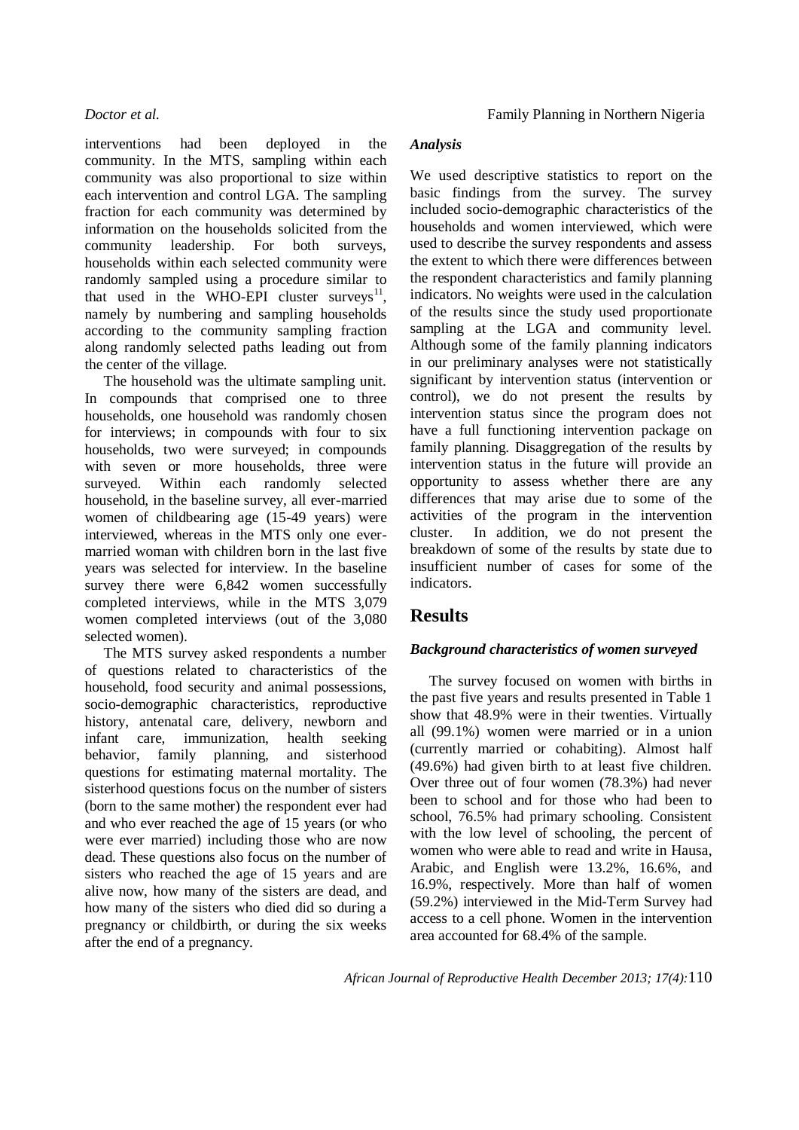interventions had been deployed in the community. In the MTS, sampling within each community was also proportional to size within each intervention and control LGA. The sampling fraction for each community was determined by information on the households solicited from the community leadership. For both surveys, households within each selected community were randomly sampled using a procedure similar to that used in the WHO-EPI cluster surveys<sup>11</sup>, namely by numbering and sampling households according to the community sampling fraction along randomly selected paths leading out from the center of the village.

The household was the ultimate sampling unit. In compounds that comprised one to three households, one household was randomly chosen for interviews; in compounds with four to six households, two were surveyed; in compounds with seven or more households, three were surveyed. Within each randomly selected household, in the baseline survey, all ever-married women of childbearing age (15-49 years) were interviewed, whereas in the MTS only one evermarried woman with children born in the last five years was selected for interview. In the baseline survey there were  $6,842$  women successfully completed interviews, while in the MTS 3,079 women completed interviews (out of the 3,080 selected women).

The MTS survey asked respondents a number of questions related to characteristics of the household, food security and animal possessions, socio-demographic characteristics, reproductive history, antenatal care, delivery, newborn and infant care, immunization, health seeking behavior, family planning, and sisterhood questions for estimating maternal mortality. The sisterhood questions focus on the number of sisters (born to the same mother) the respondent ever had and who ever reached the age of 15 years (or who were ever married) including those who are now dead. These questions also focus on the number of sisters who reached the age of 15 years and are alive now, how many of the sisters are dead, and how many of the sisters who died did so during a pregnancy or childbirth, or during the six weeks after the end of a pregnancy.

### *Analysis*

We used descriptive statistics to report on the basic findings from the survey. The survey included socio-demographic characteristics of the households and women interviewed, which were used to describe the survey respondents and assess the extent to which there were differences between the respondent characteristics and family planning indicators. No weights were used in the calculation of the results since the study used proportionate sampling at the LGA and community level. Although some of the family planning indicators in our preliminary analyses were not statistically significant by intervention status (intervention or control), we do not present the results by intervention status since the program does not have a full functioning intervention package on family planning. Disaggregation of the results by intervention status in the future will provide an opportunity to assess whether there are any differences that may arise due to some of the activities of the program in the intervention cluster. In addition, we do not present the breakdown of some of the results by state due to insufficient number of cases for some of the indicators.

## **Results**

## *Background characteristics of women surveyed*

The survey focused on women with births in the past five years and results presented in Table 1 show that 48.9% were in their twenties. Virtually all (99.1%) women were married or in a union (currently married or cohabiting). Almost half (49.6%) had given birth to at least five children. Over three out of four women (78.3%) had never been to school and for those who had been to school, 76.5% had primary schooling. Consistent with the low level of schooling, the percent of women who were able to read and write in Hausa, Arabic, and English were 13.2%, 16.6%, and 16.9%, respectively. More than half of women (59.2%) interviewed in the Mid-Term Survey had access to a cell phone. Women in the intervention area accounted for 68.4% of the sample.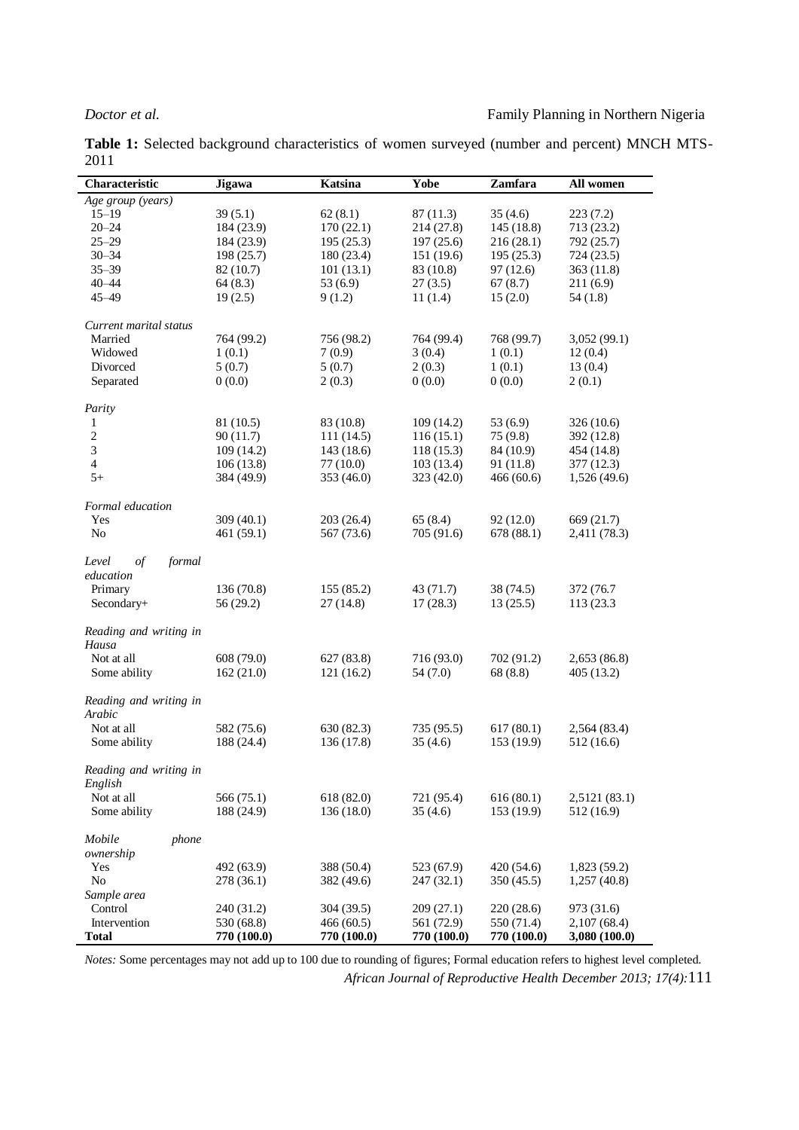**Table 1:** Selected background characteristics of women surveyed (number and percent) MNCH MTS-2011

| Characteristic                | Jigawa      | <b>Katsina</b> | Yobe        | Zamfara     | All women     |
|-------------------------------|-------------|----------------|-------------|-------------|---------------|
| Age group (years)             |             |                |             |             |               |
| $15 - 19$                     | 39(5.1)     | 62(8.1)        | 87 (11.3)   | 35(4.6)     | 223(7.2)      |
| $20 - 24$                     | 184 (23.9)  | 170(22.1)      | 214 (27.8)  | 145 (18.8)  | 713 (23.2)    |
| $25 - 29$                     | 184 (23.9)  | 195(25.3)      | 197(25.6)   | 216(28.1)   | 792 (25.7)    |
| $30 - 34$                     | 198 (25.7)  | 180 (23.4)     | 151 (19.6)  | 195(25.3)   | 724 (23.5)    |
| $35 - 39$                     | 82 (10.7)   | 101(13.1)      | 83 (10.8)   | 97(12.6)    | 363 (11.8)    |
| $40 - 44$                     | 64(8.3)     | 53(6.9)        | 27(3.5)     | 67(8.7)     | 211(6.9)      |
| $45 - 49$                     | 19(2.5)     | 9(1.2)         | 11(1.4)     | 15(2.0)     | 54(1.8)       |
|                               |             |                |             |             |               |
| Current marital status        |             |                |             |             |               |
| Married                       | 764 (99.2)  | 756 (98.2)     | 764 (99.4)  | 768 (99.7)  | 3,052(99.1)   |
| Widowed                       | 1(0.1)      | 7(0.9)         | 3(0.4)      | 1(0.1)      | 12(0.4)       |
| Divorced                      | 5(0.7)      | 5(0.7)         | 2(0.3)      | 1(0.1)      | 13(0.4)       |
| Separated                     | 0(0.0)      | 2(0.3)         | 0(0.0)      | 0(0.0)      | 2(0.1)        |
|                               |             |                |             |             |               |
| Parity                        |             |                |             |             |               |
| 1                             | 81 (10.5)   | 83 (10.8)      | 109(14.2)   | 53(6.9)     | 326 (10.6)    |
| $\sqrt{2}$                    | 90(11.7)    | 111(14.5)      | 116(15.1)   | 75(9.8)     | 392 (12.8)    |
| $\sqrt{3}$                    | 109 (14.2)  | 143(18.6)      | 118(15.3)   | 84 (10.9)   | 454 (14.8)    |
| $\overline{4}$                | 106(13.8)   | 77(10.0)       | 103(13.4)   | 91(11.8)    | 377 (12.3)    |
| $5+$                          | 384 (49.9)  | 353 (46.0)     | 323 (42.0)  | 466(60.6)   | 1,526(49.6)   |
|                               |             |                |             |             |               |
| Formal education              |             |                |             |             |               |
| Yes                           | 309 (40.1)  | 203(26.4)      | 65(8.4)     | 92(12.0)    | 669 (21.7)    |
| N <sub>o</sub>                | 461 (59.1)  | 567 (73.6)     | 705 (91.6)  | 678 (88.1)  | 2,411 (78.3)  |
|                               |             |                |             |             |               |
| formal<br>$\sigma f$<br>Level |             |                |             |             |               |
| education                     |             |                |             |             |               |
| Primary                       | 136 (70.8)  | 155 (85.2)     | 43 (71.7)   | 38 (74.5)   | 372 (76.7)    |
| Secondary+                    | 56 (29.2)   | 27(14.8)       | 17(28.3)    | 13(25.5)    | 113 (23.3)    |
|                               |             |                |             |             |               |
| Reading and writing in        |             |                |             |             |               |
| Hausa                         |             |                |             |             |               |
| Not at all                    | 608 (79.0)  | 627 (83.8)     | 716 (93.0)  | 702 (91.2)  | 2,653 (86.8)  |
| Some ability                  | 162 (21.0)  | 121(16.2)      | 54 (7.0)    | 68(8.8)     | 405 (13.2)    |
|                               |             |                |             |             |               |
| Reading and writing in        |             |                |             |             |               |
| Arabic                        |             |                |             |             |               |
| Not at all                    | 582 (75.6)  | 630 (82.3)     | 735 (95.5)  | 617(80.1)   | 2,564 (83.4)  |
| Some ability                  | 188 (24.4)  | 136 (17.8)     | 35(4.6)     | 153 (19.9)  | 512 (16.6)    |
|                               |             |                |             |             |               |
| Reading and writing in        |             |                |             |             |               |
| English                       |             |                |             |             |               |
| Not at all                    | 566 (75.1)  | 618 (82.0)     | 721 (95.4)  | 616(80.1)   | 2,5121 (83.1) |
| Some ability                  | 188 (24.9)  | 136 (18.0)     | 35(4.6)     | 153 (19.9)  | 512 (16.9)    |
|                               |             |                |             |             |               |
| Mobile<br>phone               |             |                |             |             |               |
| ownership                     |             |                |             |             |               |
| Yes                           | 492 (63.9)  | 388 (50.4)     | 523 (67.9)  | 420(54.6)   | 1,823 (59.2)  |
| No                            | 278 (36.1)  | 382 (49.6)     | 247 (32.1)  | 350(45.5)   | 1,257(40.8)   |
| Sample area                   |             |                |             |             |               |
| Control                       | 240 (31.2)  | 304 (39.5)     | 209(27.1)   | 220(28.6)   | 973 (31.6)    |
| Intervention                  | 530 (68.8)  | 466 (60.5)     | 561 (72.9)  | 550 (71.4)  | 2,107(68.4)   |
| Total                         | 770 (100.0) | 770 (100.0)    | 770 (100.0) | 770 (100.0) | 3,080 (100.0) |

*African Journal of Reproductive Health December 2013; 17(4):*111 *Notes:* Some percentages may not add up to 100 due to rounding of figures; Formal education refers to highest level completed.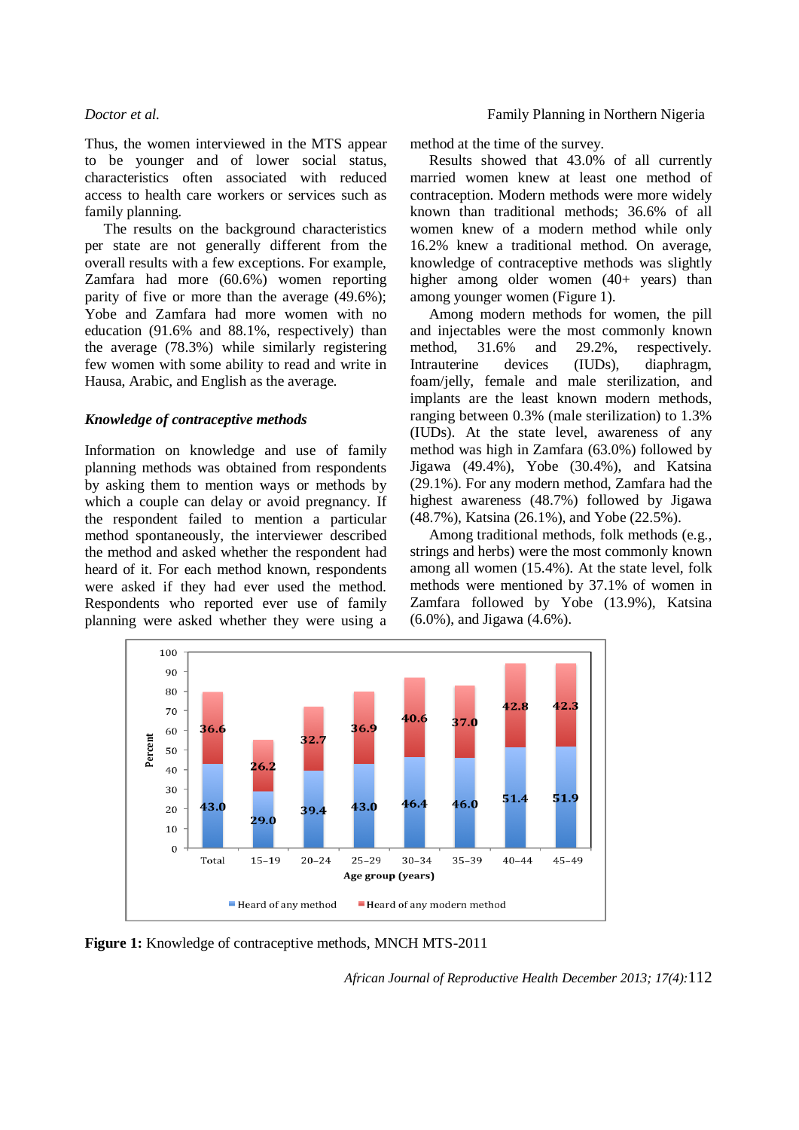Thus, the women interviewed in the MTS appear to be younger and of lower social status, characteristics often associated with reduced access to health care workers or services such as family planning.

The results on the background characteristics per state are not generally different from the overall results with a few exceptions. For example, Zamfara had more (60.6%) women reporting parity of five or more than the average (49.6%); Yobe and Zamfara had more women with no education (91.6% and 88.1%, respectively) than the average (78.3%) while similarly registering few women with some ability to read and write in Hausa, Arabic, and English as the average.

### *Knowledge of contraceptive methods*

Information on knowledge and use of family planning methods was obtained from respondents by asking them to mention ways or methods by which a couple can delay or avoid pregnancy. If the respondent failed to mention a particular method spontaneously, the interviewer described the method and asked whether the respondent had heard of it. For each method known, respondents were asked if they had ever used the method. Respondents who reported ever use of family planning were asked whether they were using a

method at the time of the survey.

Results showed that 43.0% of all currently married women knew at least one method of contraception. Modern methods were more widely known than traditional methods; 36.6% of all women knew of a modern method while only 16.2% knew a traditional method. On average, knowledge of contraceptive methods was slightly higher among older women (40+ years) than among younger women (Figure 1).

Among modern methods for women, the pill and injectables were the most commonly known method, 31.6% and 29.2%, respectively. Intrauterine devices (IUDs), diaphragm, foam/jelly, female and male sterilization, and implants are the least known modern methods, ranging between 0.3% (male sterilization) to 1.3% (IUDs). At the state level, awareness of any method was high in Zamfara (63.0%) followed by Jigawa (49.4%), Yobe (30.4%), and Katsina (29.1%). For any modern method, Zamfara had the highest awareness (48.7%) followed by Jigawa (48.7%), Katsina (26.1%), and Yobe (22.5%).

Among traditional methods, folk methods (e.g., strings and herbs) were the most commonly known among all women (15.4%). At the state level, folk methods were mentioned by 37.1% of women in Zamfara followed by Yobe (13.9%), Katsina (6.0%), and Jigawa (4.6%).



**Figure 1:** Knowledge of contraceptive methods, MNCH MTS-2011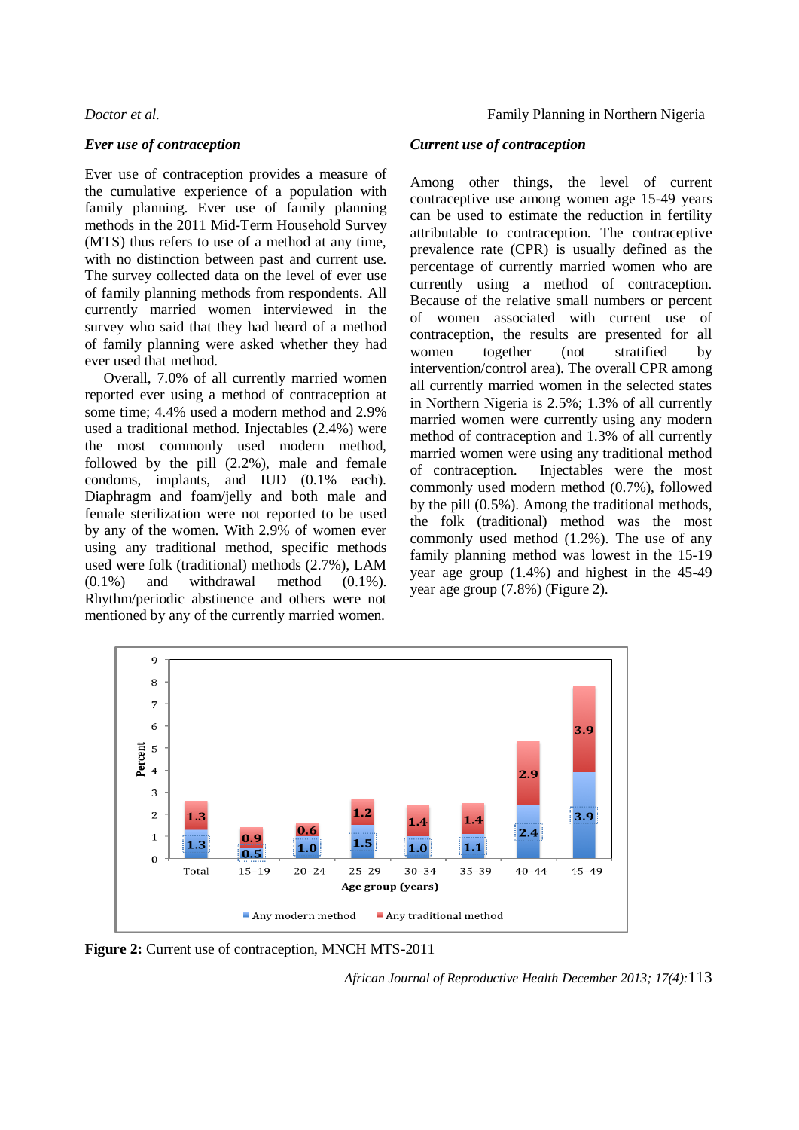### *Ever use of contraception*

Ever use of contraception provides a measure of the cumulative experience of a population with family planning. Ever use of family planning methods in the 2011 Mid-Term Household Survey (MTS) thus refers to use of a method at any time, with no distinction between past and current use. The survey collected data on the level of ever use of family planning methods from respondents. All currently married women interviewed in the survey who said that they had heard of a method of family planning were asked whether they had ever used that method.

Overall, 7.0% of all currently married women reported ever using a method of contraception at some time; 4.4% used a modern method and 2.9% used a traditional method. Injectables (2.4%) were the most commonly used modern method, followed by the pill (2.2%), male and female condoms, implants, and IUD (0.1% each). Diaphragm and foam/jelly and both male and female sterilization were not reported to be used by any of the women. With 2.9% of women ever using any traditional method, specific methods used were folk (traditional) methods (2.7%), LAM  $(0.1\%)$  and withdrawal method  $(0.1\%)$ . Rhythm/periodic abstinence and others were not mentioned by any of the currently married women.

### *Current use of contraception*

Among other things, the level of current contraceptive use among women age 15-49 years can be used to estimate the reduction in fertility attributable to contraception. The contraceptive prevalence rate (CPR) is usually defined as the percentage of currently married women who are currently using a method of contraception. Because of the relative small numbers or percent of women associated with current use of contraception, the results are presented for all women together (not stratified by intervention/control area). The overall CPR among all currently married women in the selected states in Northern Nigeria is 2.5%; 1.3% of all currently married women were currently using any modern method of contraception and 1.3% of all currently married women were using any traditional method of contraception. Injectables were the most commonly used modern method (0.7%), followed by the pill (0.5%). Among the traditional methods, the folk (traditional) method was the most commonly used method (1.2%). The use of any family planning method was lowest in the 15-19 year age group (1.4%) and highest in the 45-49 year age group (7.8%) (Figure 2).



**Figure 2:** Current use of contraception, MNCH MTS-2011

*African Journal of Reproductive Health December 2013; 17(4):*113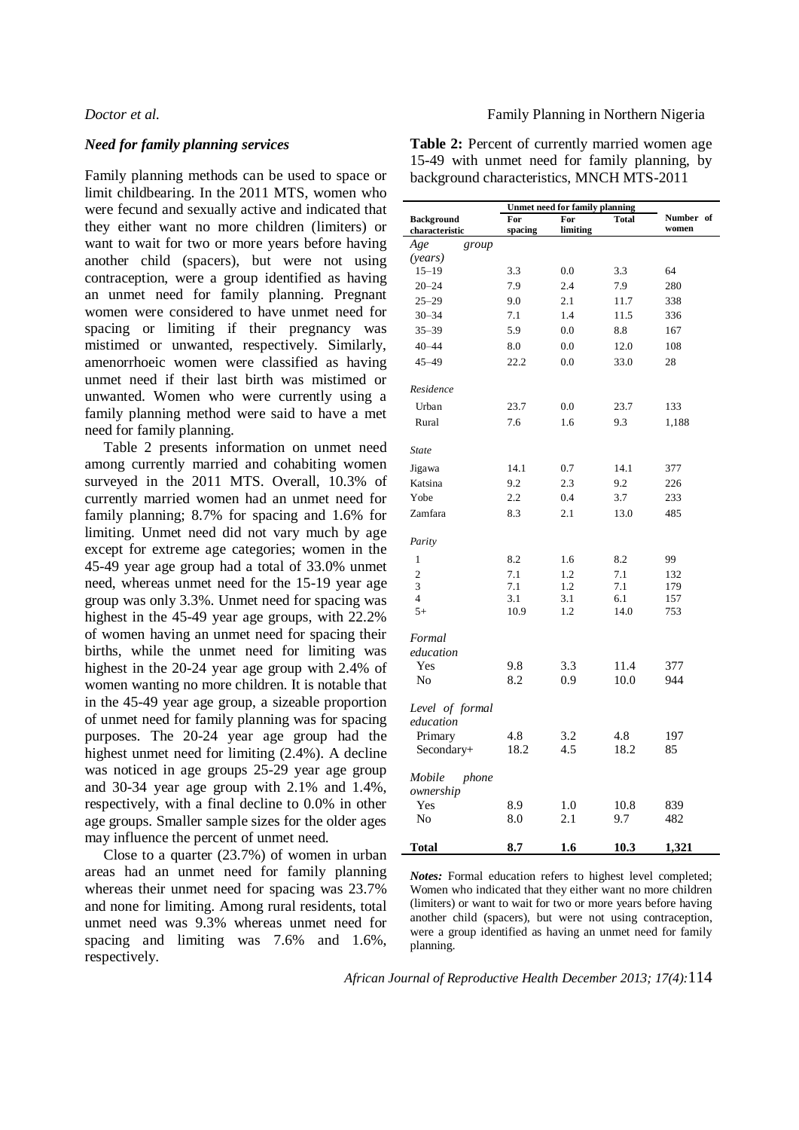### *Need for family planning services*

Family planning methods can be used to space or limit childbearing. In the 2011 MTS, women who were fecund and sexually active and indicated that they either want no more children (limiters) or want to wait for two or more years before having another child (spacers), but were not using contraception, were a group identified as having an unmet need for family planning. Pregnant women were considered to have unmet need for spacing or limiting if their pregnancy was mistimed or unwanted, respectively. Similarly, amenorrhoeic women were classified as having unmet need if their last birth was mistimed or unwanted. Women who were currently using a family planning method were said to have a met need for family planning.

Table 2 presents information on unmet need among currently married and cohabiting women surveyed in the 2011 MTS. Overall, 10.3% of currently married women had an unmet need for family planning; 8.7% for spacing and 1.6% for limiting. Unmet need did not vary much by age except for extreme age categories; women in the 45-49 year age group had a total of 33.0% unmet need, whereas unmet need for the 15-19 year age group was only 3.3%. Unmet need for spacing was highest in the 45-49 year age groups, with 22.2% of women having an unmet need for spacing their births, while the unmet need for limiting was highest in the 20-24 year age group with 2.4% of women wanting no more children. It is notable that in the 45-49 year age group, a sizeable proportion of unmet need for family planning was for spacing purposes. The 20-24 year age group had the highest unmet need for limiting (2.4%). A decline was noticed in age groups 25-29 year age group and 30-34 year age group with 2.1% and 1.4%, respectively, with a final decline to 0.0% in other age groups. Smaller sample sizes for the older ages may influence the percent of unmet need.

Close to a quarter (23.7%) of women in urban areas had an unmet need for family planning whereas their unmet need for spacing was 23.7% and none for limiting. Among rural residents, total unmet need was 9.3% whereas unmet need for spacing and limiting was 7.6% and 1.6%, respectively.

**Table 2:** Percent of currently married women age 15-49 with unmet need for family planning, by background characteristics, MNCH MTS-2011

|                                     | <b>Unmet need for family planning</b> |                 |             |                    |  |  |
|-------------------------------------|---------------------------------------|-----------------|-------------|--------------------|--|--|
| <b>Background</b><br>characteristic | For<br>spacing                        | For<br>limiting |             | Number of<br>women |  |  |
| Age<br>group                        |                                       |                 |             |                    |  |  |
| (years)                             |                                       |                 |             |                    |  |  |
| $15 - 19$                           | 3.3                                   | 0.0             | 3.3         | 64                 |  |  |
| $20 - 24$                           | 7.9                                   | 2.4             | 7.9         | 280                |  |  |
| $25 - 29$                           | 9.0                                   | 2.1             | 11.7        | 338                |  |  |
| $30 - 34$                           | 7.1                                   | 1.4             | 11.5        | 336                |  |  |
| $35 - 39$                           | 5.9                                   | 0.0             | 8.8         | 167                |  |  |
| $40 - 44$                           | 8.0                                   | 0.0             | 12.0        | 108                |  |  |
| $45 - 49$                           | 22.2                                  | 0.0             | 33.0        | 28                 |  |  |
| Residence                           |                                       |                 |             |                    |  |  |
| Urban                               | 23.7                                  | 0.0             | 23.7        | 133                |  |  |
| Rural                               | 7.6                                   | 1.6             | 9.3         | 1,188              |  |  |
| <b>State</b>                        |                                       |                 |             |                    |  |  |
| Jigawa                              | 14.1                                  | 0.7             | 14.1        | 377                |  |  |
| Katsina                             | 9.2                                   | 2.3             | 9.2         | 226                |  |  |
| Yobe                                | 2.2                                   | 0.4             | 3.7         | 233                |  |  |
| Zamfara                             | 8.3                                   | 2.1             | 13.0        | 485                |  |  |
| Parity                              |                                       |                 |             |                    |  |  |
| 1                                   | 8.2                                   | 1.6             | 8.2         | 99                 |  |  |
| $\overline{c}$                      | 7.1                                   | 1.2             | 7.1         | 132                |  |  |
| 3                                   | 7.1                                   | 1.2             | 7.1         | 179                |  |  |
| $\overline{4}$                      | 3.1                                   | 3.1             | 6.1         | 157                |  |  |
| $5+$                                | 10.9                                  | 1.2             | 14.0        | 753                |  |  |
| Formal                              |                                       |                 |             |                    |  |  |
| education                           |                                       |                 |             |                    |  |  |
| Yes                                 | 9.8                                   | 3.3             | 11.4        | 377                |  |  |
| No                                  | 8.2                                   | 0.9             | 10.0        | 944                |  |  |
| Level of formal                     |                                       |                 |             |                    |  |  |
| education                           |                                       |                 |             |                    |  |  |
| Primary                             | 4.8                                   | 3.2             | 4.8         | 197                |  |  |
| Secondary+                          | 18.2                                  | 4.5             | 18.2        | 85                 |  |  |
| Mobile<br>phone                     |                                       |                 |             |                    |  |  |
| ownership                           |                                       |                 |             |                    |  |  |
| Yes<br>No                           | 8.9<br>8.0                            | 1.0<br>2.1      | 10.8<br>9.7 | 839<br>482         |  |  |
|                                     |                                       |                 |             |                    |  |  |
| Total                               | 8.7                                   | 1.6             | 10.3        | 1,321              |  |  |

*Notes:* Formal education refers to highest level completed; Women who indicated that they either want no more children (limiters) or want to wait for two or more years before having another child (spacers), but were not using contraception, were a group identified as having an unmet need for family planning.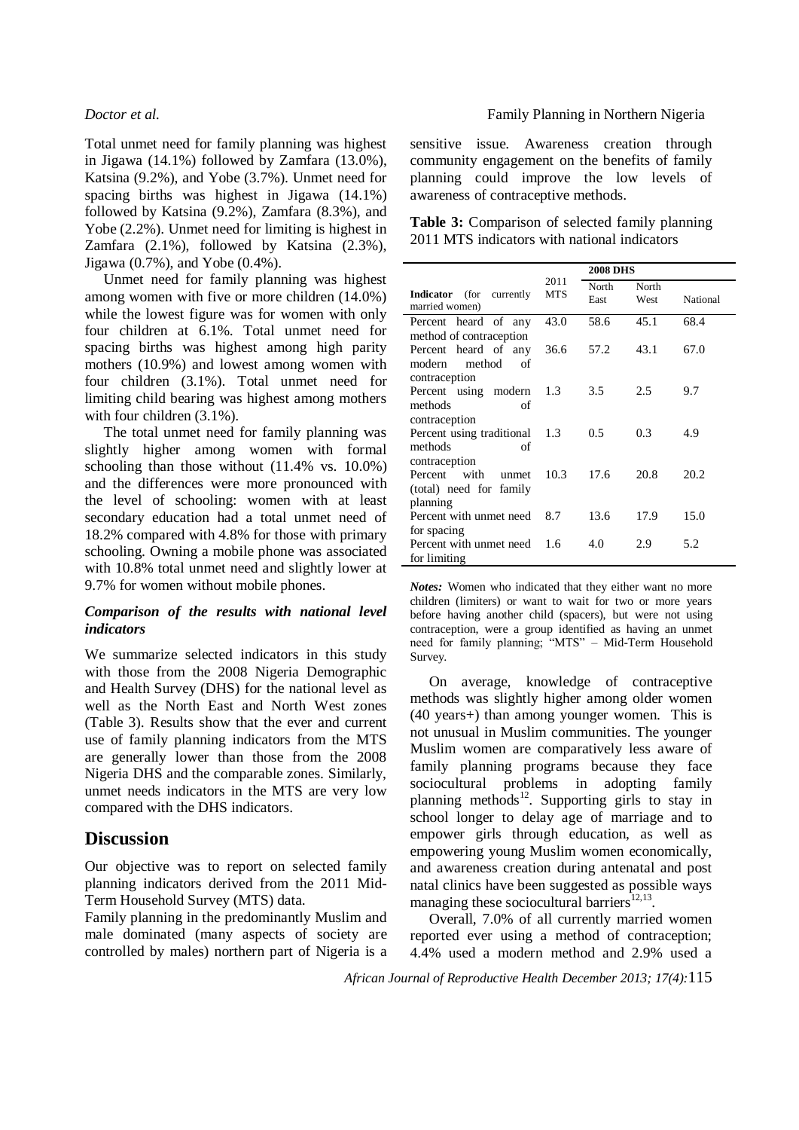Total unmet need for family planning was highest in Jigawa (14.1%) followed by Zamfara (13.0%), Katsina (9.2%), and Yobe (3.7%). Unmet need for spacing births was highest in Jigawa (14.1%) followed by Katsina (9.2%), Zamfara (8.3%), and Yobe (2.2%). Unmet need for limiting is highest in Zamfara (2.1%), followed by Katsina (2.3%), Jigawa (0.7%), and Yobe (0.4%).

Unmet need for family planning was highest among women with five or more children (14.0%) while the lowest figure was for women with only four children at 6.1%. Total unmet need for spacing births was highest among high parity mothers (10.9%) and lowest among women with four children (3.1%). Total unmet need for limiting child bearing was highest among mothers with four children  $(3.1\%)$ .

The total unmet need for family planning was slightly higher among women with formal schooling than those without (11.4% vs. 10.0%) and the differences were more pronounced with the level of schooling: women with at least secondary education had a total unmet need of 18.2% compared with 4.8% for those with primary schooling. Owning a mobile phone was associated with 10.8% total unmet need and slightly lower at 9.7% for women without mobile phones.

### *Comparison of the results with national level indicators*

We summarize selected indicators in this study with those from the 2008 Nigeria Demographic and Health Survey (DHS) for the national level as well as the North East and North West zones (Table 3). Results show that the ever and current use of family planning indicators from the MTS are generally lower than those from the 2008 Nigeria DHS and the comparable zones. Similarly, unmet needs indicators in the MTS are very low compared with the DHS indicators.

## **Discussion**

Our objective was to report on selected family planning indicators derived from the 2011 Mid-Term Household Survey (MTS) data.

Family planning in the predominantly Muslim and male dominated (many aspects of society are controlled by males) northern part of Nigeria is a

### *Doctor et al.* Family Planning in Northern Nigeria

sensitive issue. Awareness creation through community engagement on the benefits of family planning could improve the low levels of awareness of contraceptive methods.

| <b>Table 3:</b> Comparison of selected family planning |
|--------------------------------------------------------|
| 2011 MTS indicators with national indicators           |

|                                                                           |                    |               | <b>2008 DHS</b> |          |  |
|---------------------------------------------------------------------------|--------------------|---------------|-----------------|----------|--|
| <b>Indicator</b> (for currently<br>married women)                         | 2011<br><b>MTS</b> | North<br>East | North<br>West   | National |  |
| Percent heard of any                                                      | 43.0               | 58.6          | 45.1            | 68.4     |  |
| method of contraception<br>Percent heard of any<br>modern<br>method<br>of | 36.6               | 57.2          | 43.1            | 67.0     |  |
| contraception<br>Percent using modern                                     | 1.3                | 3.5           | 2.5             | 9.7      |  |
| methods<br>of                                                             |                    |               |                 |          |  |
| contraception<br>Percent using traditional<br>methods<br>οf               | 1.3                | 0.5           | 0.3             | 4.9      |  |
| contraception<br>Percent with<br>unmet<br>(total) need for family         | 10.3               | 17.6          | 20.8            | 20.2     |  |
| planning<br>Percent with unmet need                                       | 8.7                | 13.6          | 17.9            | 15.0     |  |
| for spacing                                                               |                    |               |                 |          |  |
| Percent with unmet need                                                   | 1.6                | 4.0           | 2.9             | 5.2      |  |
| for limiting                                                              |                    |               |                 |          |  |

*Notes:* Women who indicated that they either want no more children (limiters) or want to wait for two or more years before having another child (spacers), but were not using contraception, were a group identified as having an unmet need for family planning; "MTS" – Mid-Term Household Survey.

On average, knowledge of contraceptive methods was slightly higher among older women (40 years+) than among younger women. This is not unusual in Muslim communities. The younger Muslim women are comparatively less aware of family planning programs because they face sociocultural problems in adopting family planning methods<sup>12</sup>. Supporting girls to stay in school longer to delay age of marriage and to empower girls through education, as well as empowering young Muslim women economically, and awareness creation during antenatal and post natal clinics have been suggested as possible ways managing these sociocultural barriers $^{12,13}$ .

Overall, 7.0% of all currently married women reported ever using a method of contraception; 4.4% used a modern method and 2.9% used a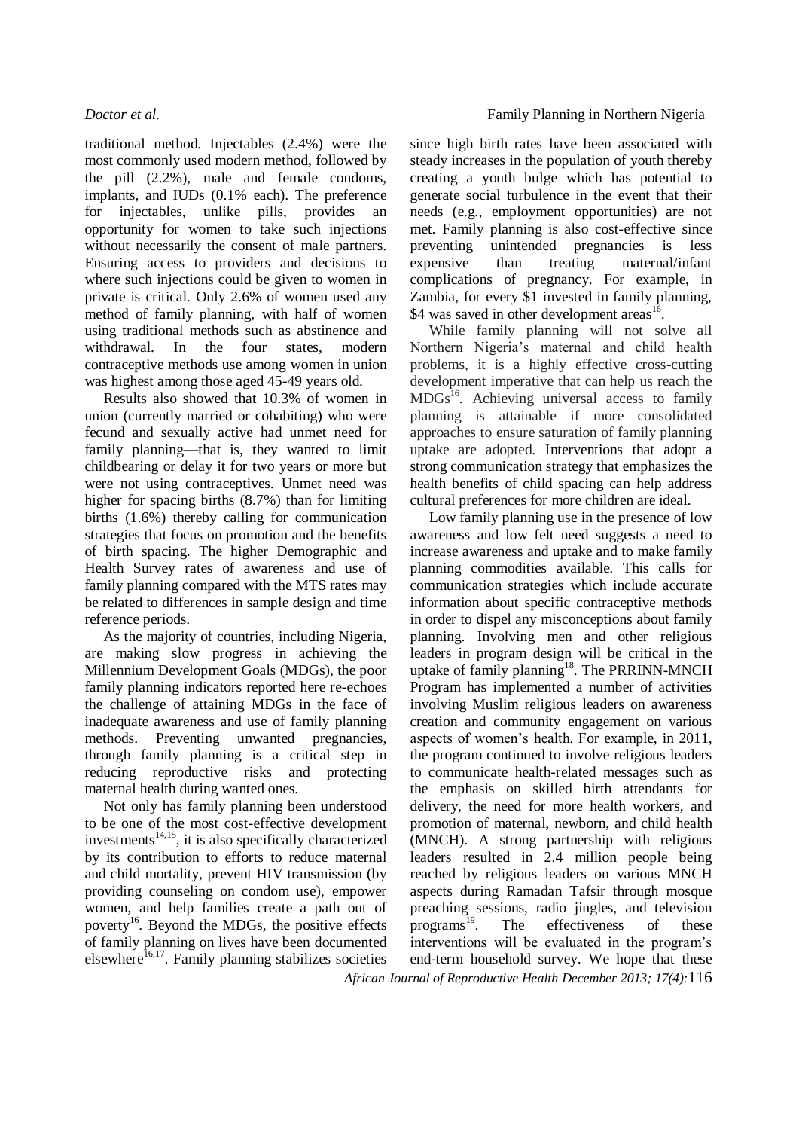traditional method. Injectables (2.4%) were the most commonly used modern method, followed by the pill (2.2%), male and female condoms, implants, and IUDs (0.1% each). The preference for injectables, unlike pills, provides an opportunity for women to take such injections without necessarily the consent of male partners. Ensuring access to providers and decisions to where such injections could be given to women in private is critical. Only 2.6% of women used any method of family planning, with half of women using traditional methods such as abstinence and withdrawal. In the four states, modern contraceptive methods use among women in union was highest among those aged 45-49 years old.

Results also showed that 10.3% of women in union (currently married or cohabiting) who were fecund and sexually active had unmet need for family planning—that is, they wanted to limit childbearing or delay it for two years or more but were not using contraceptives. Unmet need was higher for spacing births (8.7%) than for limiting births (1.6%) thereby calling for communication strategies that focus on promotion and the benefits of birth spacing. The higher Demographic and Health Survey rates of awareness and use of family planning compared with the MTS rates may be related to differences in sample design and time reference periods.

As the majority of countries, including Nigeria, are making slow progress in achieving the Millennium Development Goals (MDGs), the poor family planning indicators reported here re-echoes the challenge of attaining MDGs in the face of inadequate awareness and use of family planning methods. Preventing unwanted pregnancies, through family planning is a critical step in reducing reproductive risks and protecting maternal health during wanted ones.

Not only has family planning been understood to be one of the most cost-effective development  $investments<sup>14,15</sup>$ , it is also specifically characterized by its contribution to efforts to reduce maternal and child mortality, prevent HIV transmission (by providing counseling on condom use), empower women, and help families create a path out of poverty<sup>16</sup>. Beyond the MDGs, the positive effects of family planning on lives have been documented elsewhere<sup>16,17</sup>. Family planning stabilizes societies

since high birth rates have been associated with steady increases in the population of youth thereby creating a youth bulge which has potential to generate social turbulence in the event that their needs (e.g., employment opportunities) are not met. Family planning is also cost-effective since preventing unintended pregnancies is less expensive than treating maternal/infant complications of pregnancy. For example, in Zambia, for every \$1 invested in family planning, \$4 was saved in other development areas<sup>16</sup> .

While family planning will not solve all Northern Nigeria's maternal and child health problems, it is a highly effective cross-cutting development imperative that can help us reach the MDGs<sup>16</sup>. Achieving universal access to family planning is attainable if more consolidated approaches to ensure saturation of family planning uptake are adopted. Interventions that adopt a strong communication strategy that emphasizes the health benefits of child spacing can help address cultural preferences for more children are ideal.

*African Journal of Reproductive Health December 2013; 17(4):*116 Low family planning use in the presence of low awareness and low felt need suggests a need to increase awareness and uptake and to make family planning commodities available. This calls for communication strategies which include accurate information about specific contraceptive methods in order to dispel any misconceptions about family planning. Involving men and other religious leaders in program design will be critical in the uptake of family planning<sup>18</sup>. The PRRINN-MNCH Program has implemented a number of activities involving Muslim religious leaders on awareness creation and community engagement on various aspects of women's health. For example, in 2011, the program continued to involve religious leaders to communicate health-related messages such as the emphasis on skilled birth attendants for delivery, the need for more health workers, and promotion of maternal, newborn, and child health (MNCH). A strong partnership with religious leaders resulted in 2.4 million people being reached by religious leaders on various MNCH aspects during Ramadan Tafsir through mosque preaching sessions, radio jingles, and television  $\mu$  programs<sup>19</sup>. The effectiveness of these interventions will be evaluated in the program's end-term household survey. We hope that these